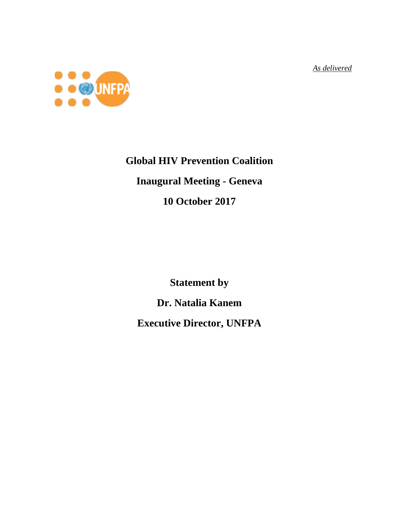*As delivered*



## **Global HIV Prevention Coalition Inaugural Meeting - Geneva**

## **10 October 2017**

**Statement by**

**Dr. Natalia Kanem** 

**Executive Director, UNFPA**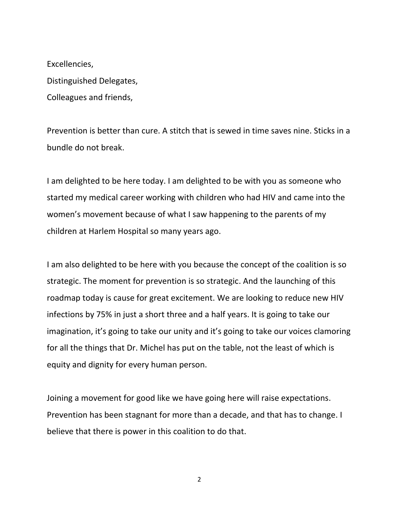Excellencies, Distinguished Delegates, Colleagues and friends,

Prevention is better than cure. A stitch that is sewed in time saves nine. Sticks in a bundle do not break.

I am delighted to be here today. I am delighted to be with you as someone who started my medical career working with children who had HIV and came into the women's movement because of what I saw happening to the parents of my children at Harlem Hospital so many years ago.

I am also delighted to be here with you because the concept of the coalition is so strategic. The moment for prevention is so strategic. And the launching of this roadmap today is cause for great excitement. We are looking to reduce new HIV infections by 75% in just a short three and a half years. It is going to take our imagination, it's going to take our unity and it's going to take our voices clamoring for all the things that Dr. Michel has put on the table, not the least of which is equity and dignity for every human person.

Joining a movement for good like we have going here will raise expectations. Prevention has been stagnant for more than a decade, and that has to change. I believe that there is power in this coalition to do that.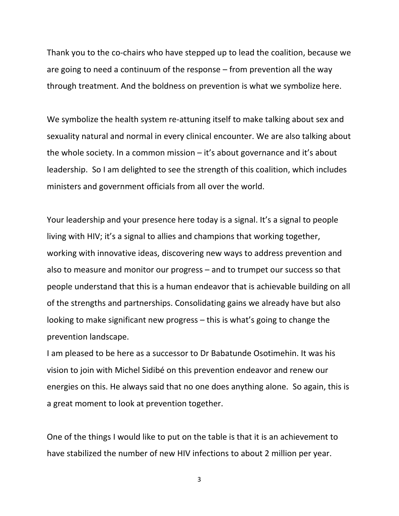Thank you to the co-chairs who have stepped up to lead the coalition, because we are going to need a continuum of the response – from prevention all the way through treatment. And the boldness on prevention is what we symbolize here.

We symbolize the health system re-attuning itself to make talking about sex and sexuality natural and normal in every clinical encounter. We are also talking about the whole society. In a common mission – it's about governance and it's about leadership. So I am delighted to see the strength of this coalition, which includes ministers and government officials from all over the world.

Your leadership and your presence here today is a signal. It's a signal to people living with HIV; it's a signal to allies and champions that working together, working with innovative ideas, discovering new ways to address prevention and also to measure and monitor our progress – and to trumpet our success so that people understand that this is a human endeavor that is achievable building on all of the strengths and partnerships. Consolidating gains we already have but also looking to make significant new progress – this is what's going to change the prevention landscape.

I am pleased to be here as a successor to Dr Babatunde Osotimehin. It was his vision to join with Michel Sidibé on this prevention endeavor and renew our energies on this. He always said that no one does anything alone. So again, this is a great moment to look at prevention together.

One of the things I would like to put on the table is that it is an achievement to have stabilized the number of new HIV infections to about 2 million per year.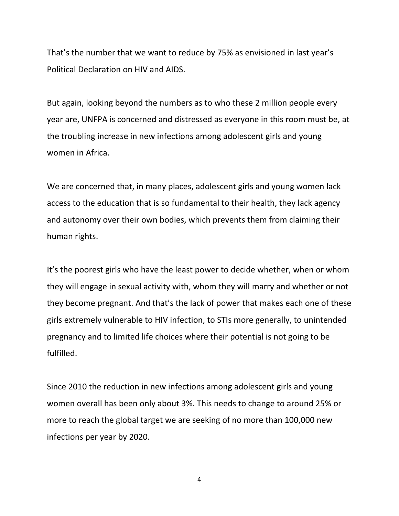That's the number that we want to reduce by 75% as envisioned in last year's Political Declaration on HIV and AIDS.

But again, looking beyond the numbers as to who these 2 million people every year are, UNFPA is concerned and distressed as everyone in this room must be, at the troubling increase in new infections among adolescent girls and young women in Africa.

We are concerned that, in many places, adolescent girls and young women lack access to the education that is so fundamental to their health, they lack agency and autonomy over their own bodies, which prevents them from claiming their human rights.

It's the poorest girls who have the least power to decide whether, when or whom they will engage in sexual activity with, whom they will marry and whether or not they become pregnant. And that's the lack of power that makes each one of these girls extremely vulnerable to HIV infection, to STIs more generally, to unintended pregnancy and to limited life choices where their potential is not going to be fulfilled.

Since 2010 the reduction in new infections among adolescent girls and young women overall has been only about 3%. This needs to change to around 25% or more to reach the global target we are seeking of no more than 100,000 new infections per year by 2020.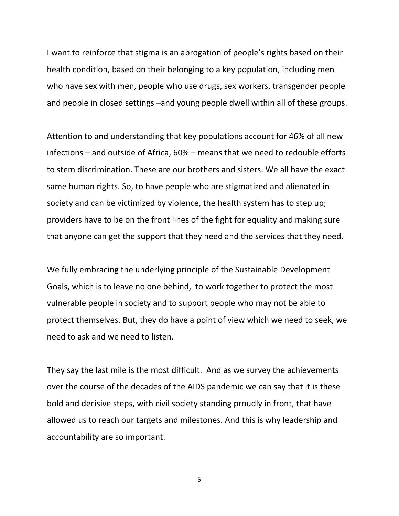I want to reinforce that stigma is an abrogation of people's rights based on their health condition, based on their belonging to a key population, including men who have sex with men, people who use drugs, sex workers, transgender people and people in closed settings –and young people dwell within all of these groups.

Attention to and understanding that key populations account for 46% of all new infections – and outside of Africa, 60% – means that we need to redouble efforts to stem discrimination. These are our brothers and sisters. We all have the exact same human rights. So, to have people who are stigmatized and alienated in society and can be victimized by violence, the health system has to step up; providers have to be on the front lines of the fight for equality and making sure that anyone can get the support that they need and the services that they need.

We fully embracing the underlying principle of the Sustainable Development Goals, which is to leave no one behind, to work together to protect the most vulnerable people in society and to support people who may not be able to protect themselves. But, they do have a point of view which we need to seek, we need to ask and we need to listen.

They say the last mile is the most difficult. And as we survey the achievements over the course of the decades of the AIDS pandemic we can say that it is these bold and decisive steps, with civil society standing proudly in front, that have allowed us to reach our targets and milestones. And this is why leadership and accountability are so important.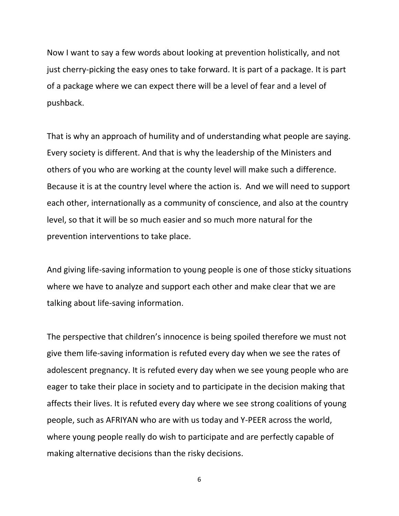Now I want to say a few words about looking at prevention holistically, and not just cherry-picking the easy ones to take forward. It is part of a package. It is part of a package where we can expect there will be a level of fear and a level of pushback.

That is why an approach of humility and of understanding what people are saying. Every society is different. And that is why the leadership of the Ministers and others of you who are working at the county level will make such a difference. Because it is at the country level where the action is. And we will need to support each other, internationally as a community of conscience, and also at the country level, so that it will be so much easier and so much more natural for the prevention interventions to take place.

And giving life-saving information to young people is one of those sticky situations where we have to analyze and support each other and make clear that we are talking about life-saving information.

The perspective that children's innocence is being spoiled therefore we must not give them life-saving information is refuted every day when we see the rates of adolescent pregnancy. It is refuted every day when we see young people who are eager to take their place in society and to participate in the decision making that affects their lives. It is refuted every day where we see strong coalitions of young people, such as AFRIYAN who are with us today and Y-PEER across the world, where young people really do wish to participate and are perfectly capable of making alternative decisions than the risky decisions.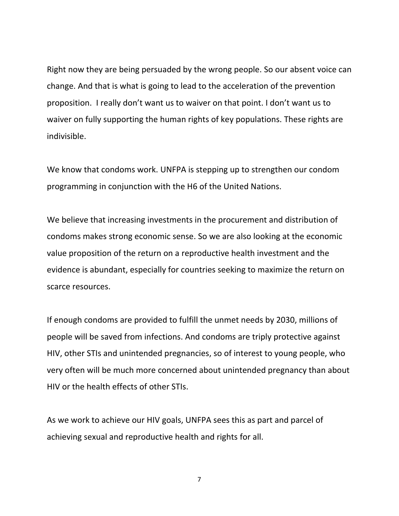Right now they are being persuaded by the wrong people. So our absent voice can change. And that is what is going to lead to the acceleration of the prevention proposition. I really don't want us to waiver on that point. I don't want us to waiver on fully supporting the human rights of key populations. These rights are indivisible.

We know that condoms work. UNFPA is stepping up to strengthen our condom programming in conjunction with the H6 of the United Nations.

We believe that increasing investments in the procurement and distribution of condoms makes strong economic sense. So we are also looking at the economic value proposition of the return on a reproductive health investment and the evidence is abundant, especially for countries seeking to maximize the return on scarce resources.

If enough condoms are provided to fulfill the unmet needs by 2030, millions of people will be saved from infections. And condoms are triply protective against HIV, other STIs and unintended pregnancies, so of interest to young people, who very often will be much more concerned about unintended pregnancy than about HIV or the health effects of other STIs.

As we work to achieve our HIV goals, UNFPA sees this as part and parcel of achieving sexual and reproductive health and rights for all.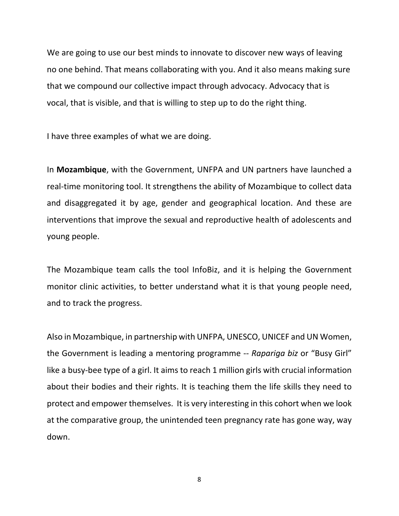We are going to use our best minds to innovate to discover new ways of leaving no one behind. That means collaborating with you. And it also means making sure that we compound our collective impact through advocacy. Advocacy that is vocal, that is visible, and that is willing to step up to do the right thing.

I have three examples of what we are doing.

In **Mozambique**, with the Government, UNFPA and UN partners have launched a real-time monitoring tool. It strengthens the ability of Mozambique to collect data and disaggregated it by age, gender and geographical location. And these are interventions that improve the sexual and reproductive health of adolescents and young people.

The Mozambique team calls the tool InfoBiz, and it is helping the Government monitor clinic activities, to better understand what it is that young people need, and to track the progress.

Also in Mozambique, in partnership with UNFPA, UNESCO, UNICEF and UN Women, the Government is leading a mentoring programme -- *Rapariga biz* or "Busy Girl" like a busy-bee type of a girl. It aims to reach 1 million girls with crucial information about their bodies and their rights. It is teaching them the life skills they need to protect and empower themselves. It is very interesting in this cohort when we look at the comparative group, the unintended teen pregnancy rate has gone way, way down.